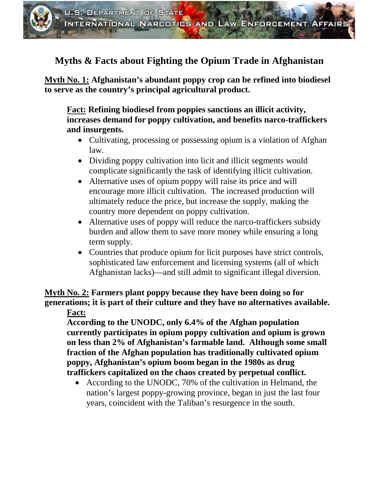# **Myths & Facts about Fighting the Opium Trade in Afghanistan**

**Myth No. 1: Afghanistan's abundant poppy crop can be refined into biodiesel to serve as the country's principal agricultural product.** 

**Fact: Refining biodiesel from poppies sanctions an illicit activity, increases demand for poppy cultivation, and benefits narco-traffickers and insurgents.** 

- Cultivating, processing or possessing opium is a violation of Afghan law.
- Dividing poppy cultivation into licit and illicit segments would complicate significantly the task of identifying illicit cultivation.
- Alternative uses of opium poppy will raise its price and will encourage more illicit cultivation. The increased production will ultimately reduce the price, but increase the supply, making the country more dependent on poppy cultivation.
- Alternative uses of poppy will reduce the narco-traffickers subsidy burden and allow them to save more money while ensuring a long term supply.
- Countries that produce opium for licit purposes have strict controls, sophisticated law enforcement and licensing systems (all of which Afghanistan lacks)—and still admit to significant illegal diversion.

**Myth No. 2: Farmers plant poppy because they have been doing so for generations; it is part of their culture and they have no alternatives available. Fact:**

**According to the UNODC, only 6.4% of the Afghan population currently participates in opium poppy cultivation and opium is grown on less than 2% of Afghanistan's farmable land. Although some small fraction of the Afghan population has traditionally cultivated opium poppy, Afghanistan's opium boom began in the 1980s as drug traffickers capitalized on the chaos created by perpetual conflict.** 

• According to the UNODC, 70% of the cultivation in Helmand, the nation's largest poppy-growing province, began in just the last four years, coincident with the Taliban's resurgence in the south.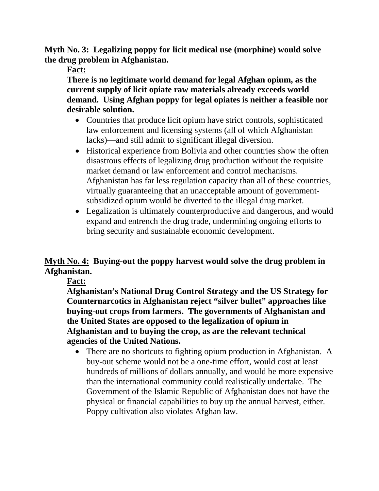**Myth No. 3: Legalizing poppy for licit medical use (morphine) would solve the drug problem in Afghanistan.**

**Fact:**

**There is no legitimate world demand for legal Afghan opium, as the current supply of licit opiate raw materials already exceeds world demand. Using Afghan poppy for legal opiates is neither a feasible nor desirable solution.**

- Countries that produce licit opium have strict controls, sophisticated law enforcement and licensing systems (all of which Afghanistan lacks)—and still admit to significant illegal diversion.
- Historical experience from Bolivia and other countries show the often disastrous effects of legalizing drug production without the requisite market demand or law enforcement and control mechanisms. Afghanistan has far less regulation capacity than all of these countries, virtually guaranteeing that an unacceptable amount of governmentsubsidized opium would be diverted to the illegal drug market.
- Legalization is ultimately counterproductive and dangerous, and would expand and entrench the drug trade, undermining ongoing efforts to bring security and sustainable economic development.

# **Myth No. 4: Buying-out the poppy harvest would solve the drug problem in Afghanistan.**

**Fact:**

**Afghanistan's National Drug Control Strategy and the US Strategy for Counternarcotics in Afghanistan reject "silver bullet" approaches like buying-out crops from farmers. The governments of Afghanistan and the United States are opposed to the legalization of opium in Afghanistan and to buying the crop, as are the relevant technical agencies of the United Nations.**

• There are no shortcuts to fighting opium production in Afghanistan. A buy-out scheme would not be a one-time effort, would cost at least hundreds of millions of dollars annually, and would be more expensive than the international community could realistically undertake. The Government of the Islamic Republic of Afghanistan does not have the physical or financial capabilities to buy up the annual harvest, either. Poppy cultivation also violates Afghan law.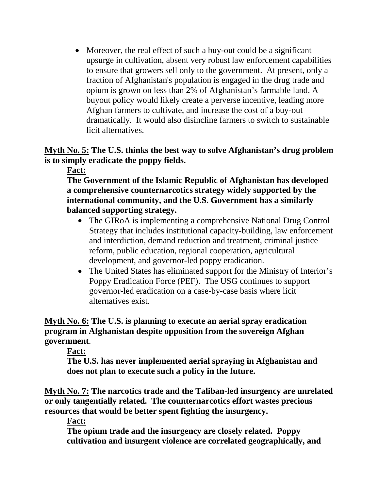• Moreover, the real effect of such a buy-out could be a significant upsurge in cultivation, absent very robust law enforcement capabilities to ensure that growers sell only to the government. At present, only a fraction of Afghanistan's population is engaged in the drug trade and opium is grown on less than 2% of Afghanistan's farmable land. A buyout policy would likely create a perverse incentive, leading more Afghan farmers to cultivate, and increase the cost of a buy-out dramatically. It would also disincline farmers to switch to sustainable licit alternatives.

**Myth No. 5: The U.S. thinks the best way to solve Afghanistan's drug problem is to simply eradicate the poppy fields.** 

**Fact:** 

**The Government of the Islamic Republic of Afghanistan has developed a comprehensive counternarcotics strategy widely supported by the international community, and the U.S. Government has a similarly balanced supporting strategy.**

- The GIRoA is implementing a comprehensive National Drug Control Strategy that includes institutional capacity-building, law enforcement and interdiction, demand reduction and treatment, criminal justice reform, public education, regional cooperation, agricultural development, and governor-led poppy eradication.
- The United States has eliminated support for the Ministry of Interior's Poppy Eradication Force (PEF). The USG continues to support governor-led eradication on a case-by-case basis where licit alternatives exist.

**Myth No. 6: The U.S. is planning to execute an aerial spray eradication program in Afghanistan despite opposition from the sovereign Afghan government**.

### **Fact:**

**The U.S. has never implemented aerial spraying in Afghanistan and does not plan to execute such a policy in the future.**

**Myth No. 7: The narcotics trade and the Taliban-led insurgency are unrelated or only tangentially related. The counternarcotics effort wastes precious resources that would be better spent fighting the insurgency.**

**Fact:** 

**The opium trade and the insurgency are closely related. Poppy cultivation and insurgent violence are correlated geographically, and**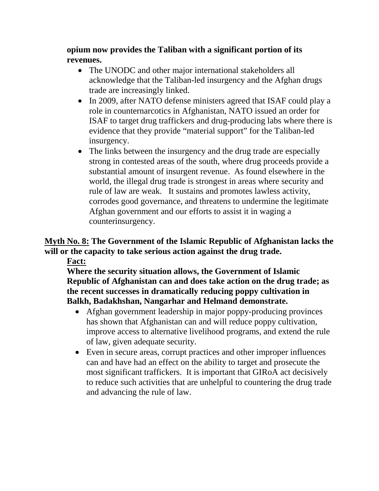**opium now provides the Taliban with a significant portion of its revenues.**

- The UNODC and other major international stakeholders all acknowledge that the Taliban-led insurgency and the Afghan drugs trade are increasingly linked.
- In 2009, after NATO defense ministers agreed that ISAF could play a role in counternarcotics in Afghanistan, NATO issued an order for ISAF to target drug traffickers and drug-producing labs where there is evidence that they provide "material support" for the Taliban-led insurgency.
- The links between the insurgency and the drug trade are especially strong in contested areas of the south, where drug proceeds provide a substantial amount of insurgent revenue. As found elsewhere in the world, the illegal drug trade is strongest in areas where security and rule of law are weak. It sustains and promotes lawless activity, corrodes good governance, and threatens to undermine the legitimate Afghan government and our efforts to assist it in waging a counterinsurgency.

# **Myth No. 8: The Government of the Islamic Republic of Afghanistan lacks the will or the capacity to take serious action against the drug trade.**

#### **Fact:**

**Where the security situation allows, the Government of Islamic Republic of Afghanistan can and does take action on the drug trade; as the recent successes in dramatically reducing poppy cultivation in Balkh, Badakhshan, Nangarhar and Helmand demonstrate.** 

- Afghan government leadership in major poppy-producing provinces has shown that Afghanistan can and will reduce poppy cultivation, improve access to alternative livelihood programs, and extend the rule of law, given adequate security.
- Even in secure areas, corrupt practices and other improper influences can and have had an effect on the ability to target and prosecute the most significant traffickers. It is important that GIRoA act decisively to reduce such activities that are unhelpful to countering the drug trade and advancing the rule of law.